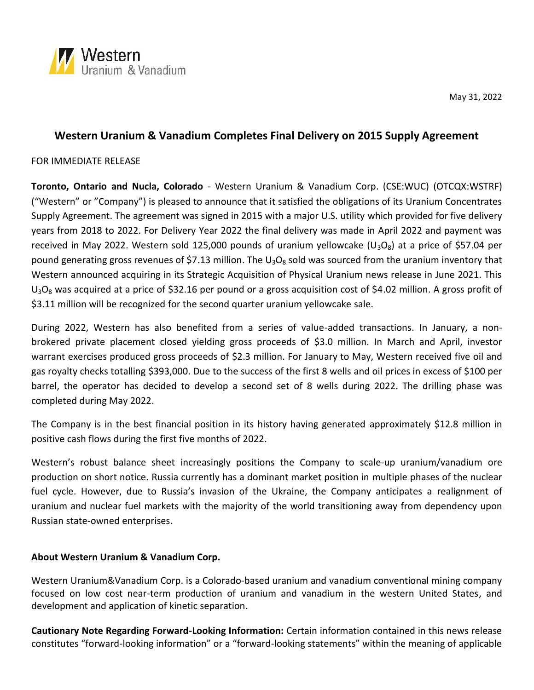

May 31,2022

## **Western Uranium & Vanadium Completes Final Delivery on 2015 Supply Agreement**

## FOR IMMEDIATE RELEASE

**Toronto, Ontario and Nucla, Colorado** - Western Uranium & Vanadium Corp. (CSE:WUC) (OTCQX:WSTRF) ("Western" or "Company") is pleased to announce that it satisfied the obligations of its Uranium Concentrates Supply Agreement. The agreement was signed in 2015 with a major U.S. utility which provided for five delivery years from 2018 to 2022. For Delivery Year 2022 the final delivery was made in April 2022 and payment was received in May 2022. Western sold 125,000 pounds of uranium yellowcake (U<sub>3</sub>O<sub>8</sub>) at a price of \$57.04 per pound generating gross revenues of \$7.13 million. The  $U_3O_8$  sold was sourced from the uranium inventory that Western announced acquiring in its Strategic Acquisition of Physical Uranium news release in June 2021. This  $U_3O_8$  was acquired at a price of \$32.16 per pound or a gross acquisition cost of \$4.02 million. A gross profit of \$3.11 million will be recognized for the second quarter uranium yellowcake sale.

During 2022, Western has also benefited from a series of value-added transactions. In January, a non brokered private placement closed yielding gross proceeds of \$3.0 million. In March and April, investor warrant exercises produced gross proceeds of \$2.3 million. For January to May, Western received five oil and gas royalty checks totalling \$393,000. Due to the success of the first 8 wells and oil prices in excess of \$100 per barrel, the operator has decided to develop a second set of 8 wells during 2022. The drilling phase was completed during May 2022.

The Company is in the best financial position in its history having generated approximately \$12.8 million in positive cash flows during the first five months of 2022.

Western's robust balance sheet increasingly positions the Company to scale-up uranium/vanadium ore production on short notice. Russia currently has a dominant market position in multiple phases of the nuclear fuel cycle. However, due to Russia's invasion of the Ukraine, the Company anticipates a realignment of uranium and nuclear fuel markets with the majority of the world transitioning away from dependency upon Russian state-owned enterprises.

## **About Western Uranium & Vanadium Corp.**

Western Uranium&Vanadium Corp. is a Colorado-based uranium and vanadium conventional mining company focused on low cost near-term production of uranium and vanadium in the western United States, and development and application of kinetic separation.

**Cautionary Note Regarding Forward-Looking Information:** Certain information contained in this news release constitutes "forward-looking information" or a "forward-looking statements" within the meaning of applicable